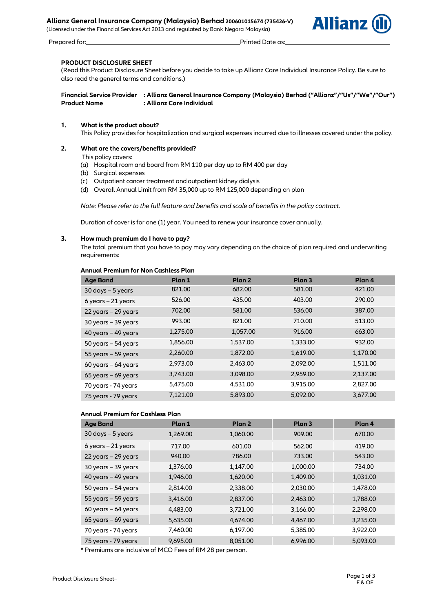## **Allianz General Insurance Company (Malaysia) Berhad 200601015674 (735426-V)**

(Licensed under the Financial Services Act 2013 and regulated by Bank Negara Malaysia)



Prepared for: Prepared for: Printed Date as:

**PRODUCT DISCLOSURE SHEET** (Read this Product Disclosure Sheet before you decide to take up Allianz Care Individual Insurance Policy. Be sure to also read the general terms and conditions.)

## **Financial Service Provider : Allianz General Insurance Company (Malaysia) Berhad ("Allianz"/"Us"/"We"/"Our") Product Name : Allianz Care Individual**

## **1. What is the product about?**

This Policy provides for hospitalization and surgical expenses incurred due to illnesses covered under the policy.

## **2. What are the covers/benefits provided?**

- This policy covers:
- (a) Hospital room and board from RM 110 per day up to RM 400 per day
- (b) Surgical expenses
- (c) Outpatient cancer treatment and outpatient kidney dialysis
- (d) Overall Annual Limit from RM 35,000 up to RM 125,000 depending on plan

*Note: Please refer to the full feature and benefits and scale of benefits in the policy contract.* 

Duration of cover is for one (1) year. You need to renew your insurance cover annually.

## **3. How much premium do I have to pay?**

The total premium that you have to pay may vary depending on the choice of plan required and underwriting requirements:

## **Annual Premium for Non Cashless Plan**

| <b>Age Band</b>           | Plan 1   | Plan <sub>2</sub> | Plan <sub>3</sub> | Plan 4   |
|---------------------------|----------|-------------------|-------------------|----------|
| $30 \, days - 5 \, years$ | 821.00   | 682.00            | 581.00            | 421.00   |
| $6$ years $-21$ years     | 526.00   | 435.00            | 403.00            | 290.00   |
| $22$ years $-29$ years    | 702.00   | 581.00            | 536.00            | 387.00   |
| $30$ years $-39$ years    | 993.00   | 821.00            | 710.00            | 513.00   |
| 40 years - 49 years       | 1,275.00 | 1,057.00          | 916.00            | 663.00   |
| $50$ years $-54$ years    | 1,856.00 | 1,537.00          | 1,333.00          | 932.00   |
| $55$ years $-59$ years    | 2,260.00 | 1,872.00          | 1,619.00          | 1,170.00 |
| $60$ years $-64$ years    | 2,973.00 | 2,463.00          | 2,092.00          | 1,511.00 |
| $65$ years – 69 years     | 3,743.00 | 3,098.00          | 2,959.00          | 2,137.00 |
| 70 years - 74 years       | 5,475.00 | 4,531.00          | 3,915.00          | 2,827.00 |
| 75 years - 79 years       | 7,121.00 | 5,893.00          | 5,092.00          | 3,677.00 |

## **Annual Premium for Cashless Plan**

| <b>Age Band</b>        | Plan 1   | Plan 2   | Plan <sub>3</sub> | Plan 4   |
|------------------------|----------|----------|-------------------|----------|
| $30$ days $-5$ years   | 1,269.00 | 1,060.00 | 909.00            | 670.00   |
| $6$ years $-21$ years  | 717.00   | 601.00   | 562.00            | 419.00   |
| $22$ years $-29$ years | 940.00   | 786.00   | 733.00            | 543.00   |
| $30$ years $-39$ years | 1,376.00 | 1,147.00 | 1,000.00          | 734.00   |
| 40 years $-$ 49 years  | 1,946.00 | 1,620.00 | 1,409.00          | 1,031.00 |
| $50$ years $-54$ years | 2,814.00 | 2,338.00 | 2,030.00          | 1,478.00 |
| $55$ years $-59$ years | 3,416.00 | 2,837.00 | 2,463.00          | 1,788.00 |
| $60$ years $-64$ years | 4,483.00 | 3,721.00 | 3,166.00          | 2,298.00 |
| $65$ years – 69 years  | 5,635.00 | 4,674.00 | 4,467.00          | 3,235.00 |
| 70 years - 74 years    | 7,460.00 | 6,197.00 | 5,385.00          | 3,922.00 |
| 75 years - 79 years    | 9,695.00 | 8,051.00 | 6,996.00          | 5,093.00 |

\* Premiums are inclusive of MCO Fees of RM 28 per person.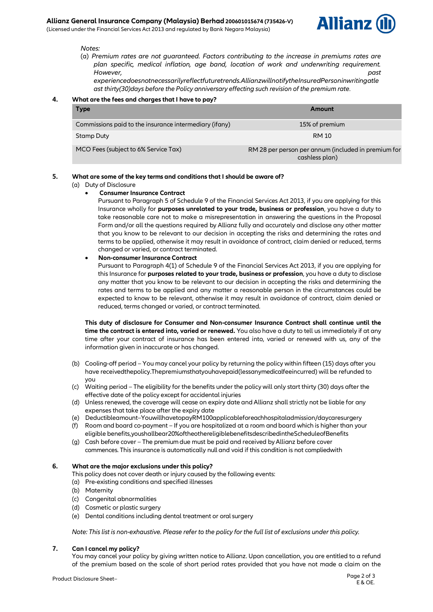## **Allianz General Insurance Company (Malaysia) Berhad 200601015674 (735426-V)**

(Licensed under the Financial Services Act 2013 and regulated by Bank Negara Malaysia)



#### *Notes:*

(a) *Premium rates are not guaranteed. Factors contributing to the increase in premiums rates are plan specific, medical inflation, age band, location of work and underwriting requirement. However, past* 

*experiencedoesnotnecessarilyreflectfuturetrends.AllianzwillnotifytheInsuredPersoninwritingatle ast thirty(30)days before the Policy anniversary effecting such revision of the premium rate*.

## **4. What are the fees and charges that I have to pay?**

| <b>Type</b>                                            | Amount                                                                |
|--------------------------------------------------------|-----------------------------------------------------------------------|
| Commissions paid to the insurance intermediary (ifany) | 15% of premium                                                        |
| Stamp Duty                                             | <b>RM10</b>                                                           |
| MCO Fees (subject to 6% Service Tax)                   | RM 28 per person per annum (included in premium for<br>cashless plan) |

## **5. What are some of the key terms and conditions that I should be aware of?**

(a) Duty of Disclosure

# **Consumer Insurance Contract**

Pursuant to Paragraph 5 of Schedule 9 of the Financial Services Act 2013, if you are applying for this Insurance wholly for **purposes unrelated to your trade, business or profession**, you have a duty to take reasonable care not to make a misrepresentation in answering the questions in the Proposal Form and/or all the questions required by Allianz fully and accurately and disclose any other matter that you know to be relevant to our decision in accepting the risks and determining the rates and terms to be applied, otherwise it may result in avoidance of contract, claim denied or reduced, terms changed or varied, or contract terminated.

## **Non-consumer Insurance Contract**

Pursuant to Paragraph 4(1) of Schedule 9 of the Financial Services Act 2013, if you are applying for this Insurance for **purposes related to your trade, business or profession**, you have a duty to disclose any matter that you know to be relevant to our decision in accepting the risks and determining the rates and terms to be applied and any matter a reasonable person in the circumstances could be expected to know to be relevant, otherwise it may result in avoidance of contract, claim denied or reduced, terms changed or varied, or contract terminated.

**This duty of disclosure for Consumer and Non-consumer Insurance Contract shall continue until the time the contract is entered into, varied or renewed.** You also have a duty to tell us immediately if at any time after your contract of insurance has been entered into, varied or renewed with us, any of the information given in inaccurate or has changed.

- (b) Cooling-off period You may cancel your policy by returning the policy within fifteen (15) days after you have receivedthepolicy.Thepremiumsthatyouhavepaid(lessanymedicalfeeincurred) will be refunded to you
- (c) Waiting period The eligibility for the benefits under the policy will only start thirty (30) days after the effective date of the policy except for accidental injuries
- (d) Unless renewed, the coverage will cease on expiry date and Allianz shall strictly not be liable for any expenses that take place after the expiry date
- (e) Deductibleamount–YouwillhavetopayRM100applicableforeachhospitaladmission/daycaresurgery
- (f) Room and board co-payment If you are hospitalized at a room and board which is higher than your eligible benefits,youshallbear20%oftheothereligiblebenefitsdescribedintheScheduleofBenefits
- (g) Cash before cover The premium due must be paid and received by Allianz before cover commences. This insurance is automatically null and void if this condition is not compliedwith

## **6. What are the major exclusions under this policy?**

This policy does not cover death or injury caused by the following events:

- (a) Pre-existing conditions and specified illnesses
- (b) Maternity
- (c) Congenital abnormalities
- (d) Cosmetic or plastic surgery
- (e) Dental conditions including dental treatment or oral surgery

*Note: This list is non-exhaustive. Please refer to the policy for the full list of exclusions under this policy.*

# **7. Can I cancel my policy?**

You may cancel your policy by giving written notice to Allianz. Upon cancellation, you are entitled to a refund of the premium based on the scale of short period rates provided that you have not made a claim on the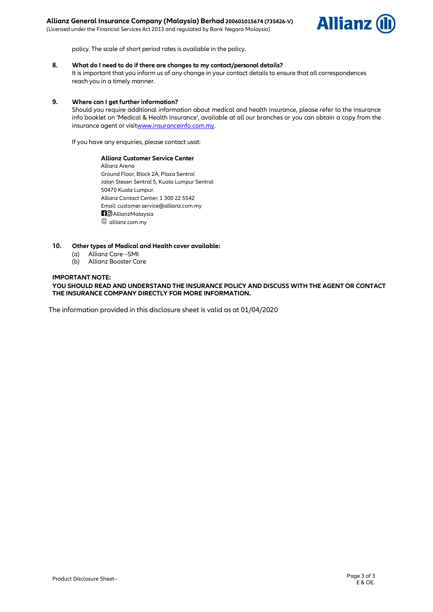(Licensed under the Financial Services Act 2013 and regulated by Bank Negara Malaysia)



policy. The scale of short period rates is available in the policy.

#### **8. What do I need to do if there are changes to my contact/personal details?**

It is important that you inform us of any change in your contact details to ensure that all correspondences reach you in a timely manner.

## **9. Where can I get further information?**

Should you require additional information about medical and health insurance, please refer to the insurance info booklet on 'Medical & Health Insurance', available at all our branches or you can obtain a copy from the insurance agent or visi[twww.insuranceinfo.com.my.](http://www.insuranceinfo.com.my/)

If you have any enquiries, please contact usat:

**Allianz Customer Service Center** Allianz Arena Ground Floor, Block 2A, Plaza Sentral Jalan Stesen Sentral 5, Kuala Lumpur Sentral 50470 Kuala Lumpur. Allianz Contact Center: 1 300 22 5542 Email: customer.service@allianz.com.my **RO** AllianzMalaysia  $\circledR$  allianz.com.my

## **10. Other types of Medical and Health cover available:**

- (a) Allianz Care –SMI
- (b) Allianz Booster Care

## **IMPORTANT NOTE:**

**YOU SHOULD READ AND UNDERSTAND THE INSURANCE POLICY AND DISCUSS WITH THE AGENT OR CONTACT THE INSURANCE COMPANY DIRECTLY FOR MORE INFORMATION.**

The information provided in this disclosure sheet is valid as at 01/04/2020